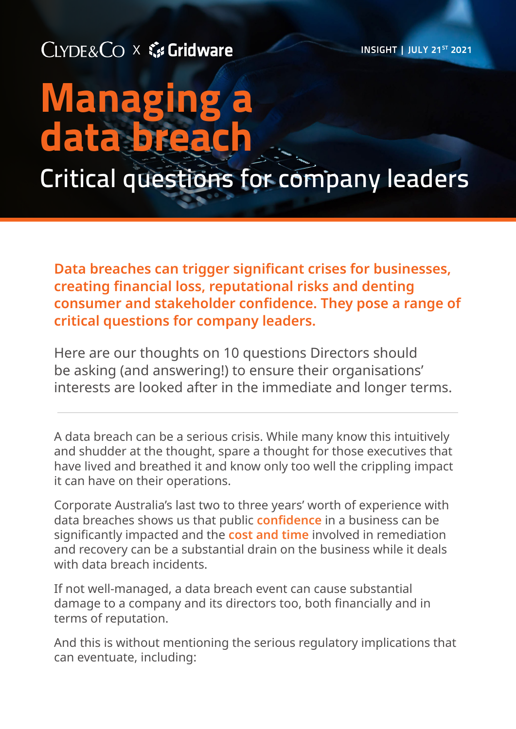CLYDE&CO X & Gridware

**INSIGHT | JULY 21ST 2021** 

# Managing a data bre Critical questions for company leaders

**Data breaches can trigger significant crises for businesses, creating financial loss, reputational risks and denting consumer and stakeholder confidence. They pose a range of critical questions for company leaders.**

Here are our thoughts on 10 questions Directors should be asking (and answering!) to ensure their organisations' interests are looked after in the immediate and longer terms.

A data breach can be a serious crisis. While many know this intuitively and shudder at the thought, spare a thought for those executives that have lived and breathed it and know only too well the crippling impact it can have on their operations.

Corporate Australia's last two to three years' worth of experience with data breaches shows us that public **confidence** in a business can be significantly impacted and the **cost and time** involved in remediation and recovery can be a substantial drain on the business while it deals with data breach incidents.

If not well-managed, a data breach event can cause substantial damage to a company and its directors too, both financially and in terms of reputation.

And this is without mentioning the serious regulatory implications that can eventuate, including: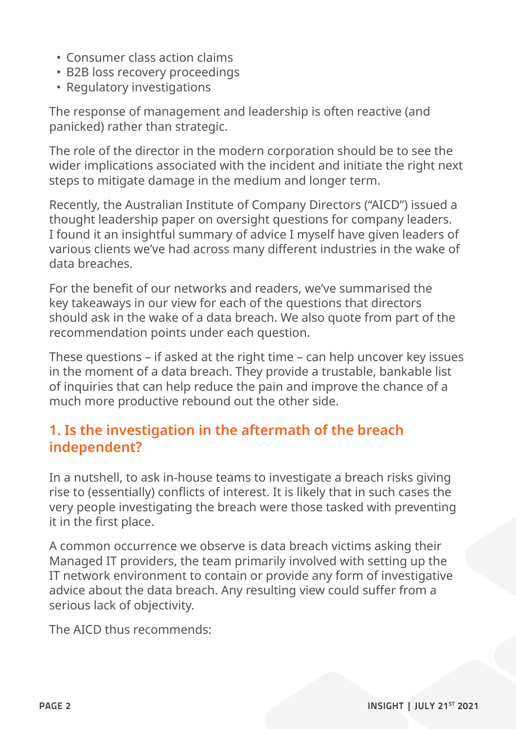- Consumer class action claims
- B2B loss recovery proceedings
- Regulatory investigations

The response of management and leadership is often reactive (and panicked) rather than strategic.

The role of the director in the modern corporation should be to see the wider implications associated with the incident and initiate the right next steps to mitigate damage in the medium and longer term.

Recently, the Australian Institute of Company Directors ("AICD") issued a thought leadership paper on oversight questions for company leaders. I found it an insightful summary of advice I myself have given leaders of various clients we've had across many different industries in the wake of data breaches.

For the benefit of our networks and readers, we've summarised the key takeaways in our view for each of the questions that directors should ask in the wake of a data breach. We also quote from part of the recommendation points under each question.

These questions – if asked at the right time – can help uncover key issues in the moment of a data breach. They provide a trustable, bankable list of inquiries that can help reduce the pain and improve the chance of a much more productive rebound out the other side.

# **1. Is the investigation in the aftermath of the breach independent?**

In a nutshell, to ask in-house teams to investigate a breach risks giving rise to (essentially) conflicts of interest. It is likely that in such cases the very people investigating the breach were those tasked with preventing it in the first place.

A common occurrence we observe is data breach victims asking their Managed IT providers, the team primarily involved with setting up the IT network environment to contain or provide any form of investigative advice about the data breach. Any resulting view could suffer from a serious lack of objectivity.

The AICD thus recommends: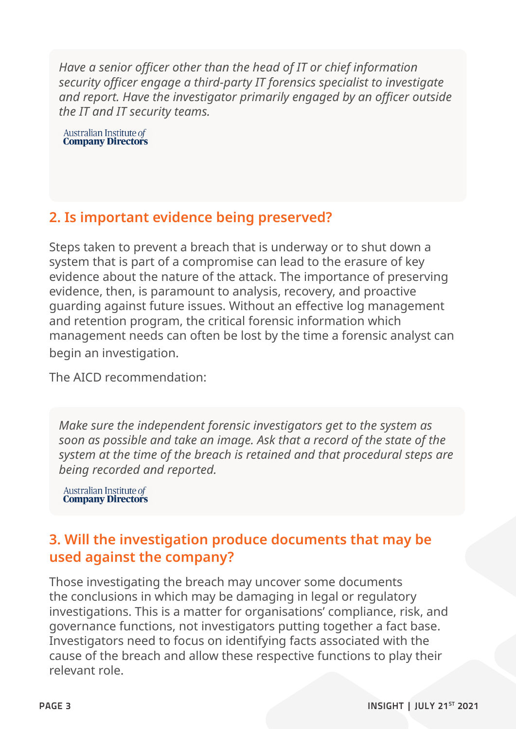*Have a senior officer other than the head of IT or chief information security officer engage a third-party IT forensics specialist to investigate and report. Have the investigator primarily engaged by an officer outside the IT and IT security teams.*

Australian Institute of<br>**Company Directors** 

# **2. Is important evidence being preserved?**

Steps taken to prevent a breach that is underway or to shut down a system that is part of a compromise can lead to the erasure of key evidence about the nature of the attack. The importance of preserving evidence, then, is paramount to analysis, recovery, and proactive guarding against future issues. Without an effective log management and retention program, the critical forensic information which management needs can often be lost by the time a forensic analyst can begin an investigation.

The AICD recommendation:

*Make sure the independent forensic investigators get to the system as soon as possible and take an image. Ask that a record of the state of the system at the time of the breach is retained and that procedural steps are being recorded and reported.*

**Australian Institute of<br>Company Directors** 

## **3. Will the investigation produce documents that may be used against the company?**

Those investigating the breach may uncover some documents the conclusions in which may be damaging in legal or regulatory investigations. This is a matter for organisations' compliance, risk, and governance functions, not investigators putting together a fact base. Investigators need to focus on identifying facts associated with the cause of the breach and allow these respective functions to play their relevant role.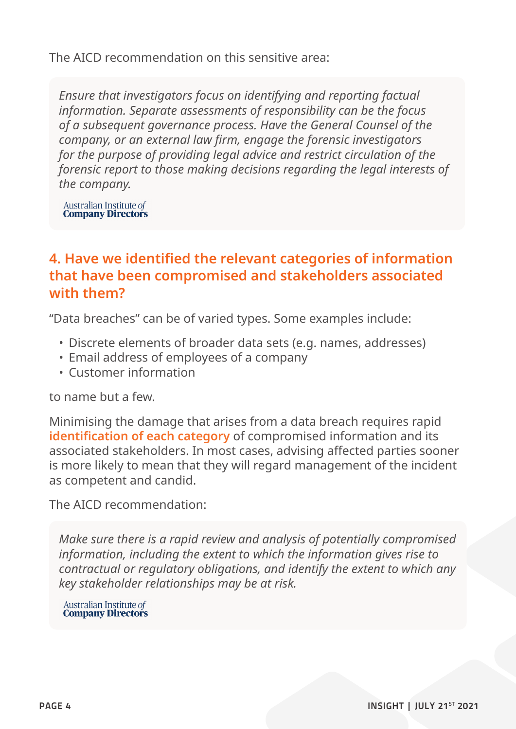The AICD recommendation on this sensitive area:

*Ensure that investigators focus on identifying and reporting factual information. Separate assessments of responsibility can be the focus of a subsequent governance process. Have the General Counsel of the company, or an external law firm, engage the forensic investigators for the purpose of providing legal advice and restrict circulation of the forensic report to those making decisions regarding the legal interests of the company.*

Australian Institute of<br>**Company Directors** 

## **4. Have we identified the relevant categories of information that have been compromised and stakeholders associated with them?**

"Data breaches" can be of varied types. Some examples include:

- Discrete elements of broader data sets (e.g. names, addresses)
- Email address of employees of a company
- Customer information

to name but a few.

Minimising the damage that arises from a data breach requires rapid **identification of each category** of compromised information and its associated stakeholders. In most cases, advising affected parties sooner is more likely to mean that they will regard management of the incident as competent and candid.

The AICD recommendation:

*Make sure there is a rapid review and analysis of potentially compromised information, including the extent to which the information gives rise to contractual or regulatory obligations, and identify the extent to which any key stakeholder relationships may be at risk.*

Australian Institute of **Company Directors**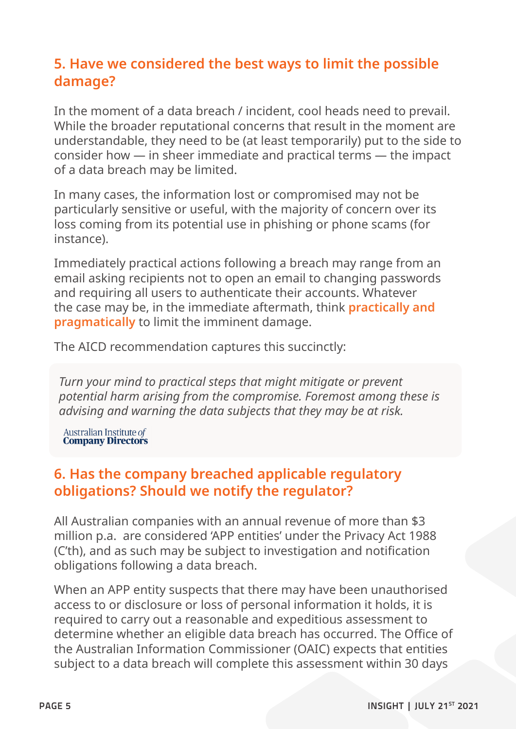# **5. Have we considered the best ways to limit the possible damage?**

In the moment of a data breach / incident, cool heads need to prevail. While the broader reputational concerns that result in the moment are understandable, they need to be (at least temporarily) put to the side to consider how — in sheer immediate and practical terms — the impact of a data breach may be limited.

In many cases, the information lost or compromised may not be particularly sensitive or useful, with the majority of concern over its loss coming from its potential use in phishing or phone scams (for instance).

Immediately practical actions following a breach may range from an email asking recipients not to open an email to changing passwords and requiring all users to authenticate their accounts. Whatever the case may be, in the immediate aftermath, think **practically and pragmatically** to limit the imminent damage.

The AICD recommendation captures this succinctly:

*Turn your mind to practical steps that might mitigate or prevent potential harm arising from the compromise. Foremost among these is advising and warning the data subjects that they may be at risk.*

**Australian Institute of<br>Company Directors** 

### **6. Has the company breached applicable regulatory obligations? Should we notify the regulator?**

All Australian companies with an annual revenue of more than \$3 million p.a. are considered 'APP entities' under the Privacy Act 1988 (C'th), and as such may be subject to investigation and notification obligations following a data breach.

When an APP entity suspects that there may have been unauthorised access to or disclosure or loss of personal information it holds, it is required to carry out a reasonable and expeditious assessment to determine whether an eligible data breach has occurred. The Office of the Australian Information Commissioner (OAIC) expects that entities subject to a data breach will complete this assessment within 30 days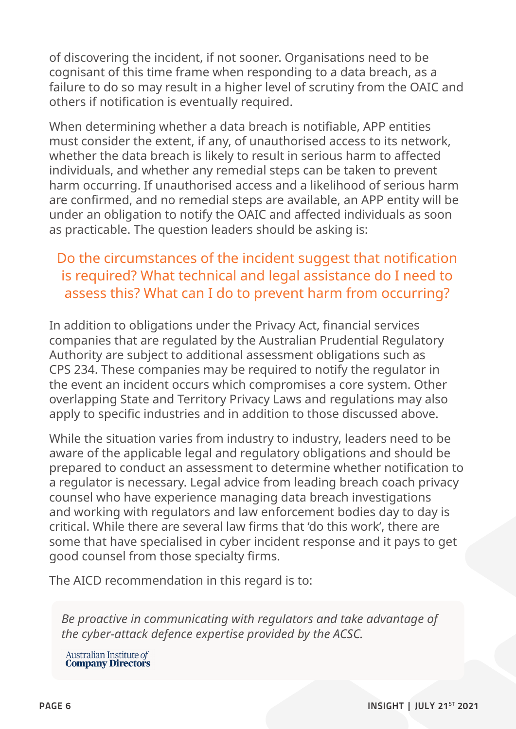of discovering the incident, if not sooner. Organisations need to be cognisant of this time frame when responding to a data breach, as a failure to do so may result in a higher level of scrutiny from the OAIC and others if notification is eventually required.

When determining whether a data breach is notifiable, APP entities must consider the extent, if any, of unauthorised access to its network, whether the data breach is likely to result in serious harm to affected individuals, and whether any remedial steps can be taken to prevent harm occurring. If unauthorised access and a likelihood of serious harm are confirmed, and no remedial steps are available, an APP entity will be under an obligation to notify the OAIC and affected individuals as soon as practicable. The question leaders should be asking is:

## Do the circumstances of the incident suggest that notification is required? What technical and legal assistance do I need to assess this? What can I do to prevent harm from occurring?

In addition to obligations under the Privacy Act, financial services companies that are regulated by the Australian Prudential Regulatory Authority are subject to additional assessment obligations such as CPS 234. These companies may be required to notify the regulator in the event an incident occurs which compromises a core system. Other overlapping State and Territory Privacy Laws and regulations may also apply to specific industries and in addition to those discussed above.

While the situation varies from industry to industry, leaders need to be aware of the applicable legal and regulatory obligations and should be prepared to conduct an assessment to determine whether notification to a regulator is necessary. Legal advice from leading breach coach privacy counsel who have experience managing data breach investigations and working with regulators and law enforcement bodies day to day is critical. While there are several law firms that 'do this work', there are some that have specialised in cyber incident response and it pays to get good counsel from those specialty firms.

The AICD recommendation in this regard is to:

*Be proactive in communicating with regulators and take advantage of the cyber-attack defence expertise provided by the ACSC.*

Australian Institute of<br>**Company Directors**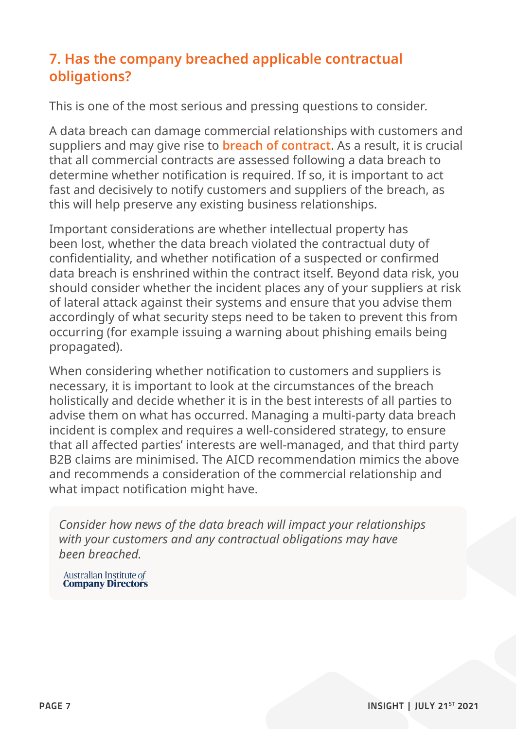# **7. Has the company breached applicable contractual obligations?**

This is one of the most serious and pressing questions to consider.

A data breach can damage commercial relationships with customers and suppliers and may give rise to **breach of contract**. As a result, it is crucial that all commercial contracts are assessed following a data breach to determine whether notification is required. If so, it is important to act fast and decisively to notify customers and suppliers of the breach, as this will help preserve any existing business relationships.

Important considerations are whether intellectual property has been lost, whether the data breach violated the contractual duty of confidentiality, and whether notification of a suspected or confirmed data breach is enshrined within the contract itself. Beyond data risk, you should consider whether the incident places any of your suppliers at risk of lateral attack against their systems and ensure that you advise them accordingly of what security steps need to be taken to prevent this from occurring (for example issuing a warning about phishing emails being propagated).

When considering whether notification to customers and suppliers is necessary, it is important to look at the circumstances of the breach holistically and decide whether it is in the best interests of all parties to advise them on what has occurred. Managing a multi-party data breach incident is complex and requires a well-considered strategy, to ensure that all affected parties' interests are well-managed, and that third party B2B claims are minimised. The AICD recommendation mimics the above and recommends a consideration of the commercial relationship and what impact notification might have.

*Consider how news of the data breach will impact your relationships with your customers and any contractual obligations may have been breached.*

**Australian Institute of<br>Company Directors**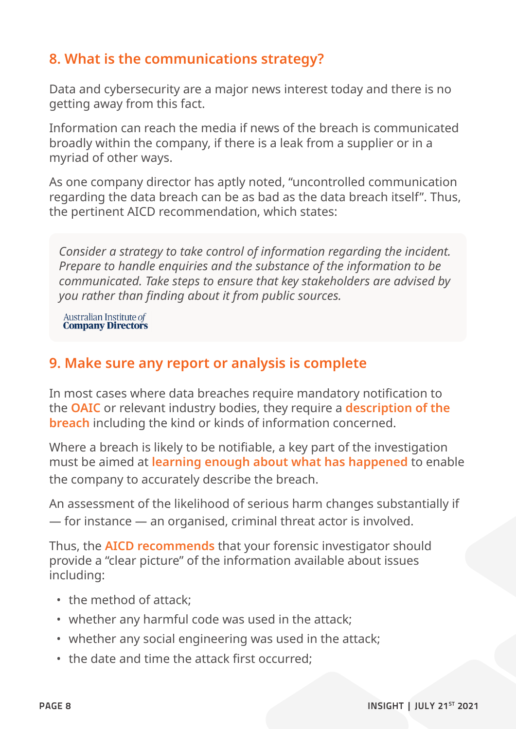## **8. What is the communications strategy?**

Data and cybersecurity are a major news interest today and there is no getting away from this fact.

Information can reach the media if news of the breach is communicated broadly within the company, if there is a leak from a supplier or in a myriad of other ways.

As one company director has aptly noted, "uncontrolled communication regarding the data breach can be as bad as the data breach itself". Thus, the pertinent AICD recommendation, which states:

*Consider a strategy to take control of information regarding the incident. Prepare to handle enquiries and the substance of the information to be communicated. Take steps to ensure that key stakeholders are advised by you rather than finding about it from public sources.*

Australian Institute of<br>**Company Directors** 

### **9. Make sure any report or analysis is complete**

In most cases where data breaches require mandatory notification to the **OAIC** or relevant industry bodies, they require a **description of the breach** including the kind or kinds of information concerned.

Where a breach is likely to be notifiable, a key part of the investigation must be aimed at **learning enough about what has happened** to enable the company to accurately describe the breach.

An assessment of the likelihood of serious harm changes substantially if — for instance — an organised, criminal threat actor is involved.

Thus, the **AICD recommends** that your forensic investigator should provide a "clear picture" of the information available about issues including:

- the method of attack;
- whether any harmful code was used in the attack;
- whether any social engineering was used in the attack;
- the date and time the attack first occurred;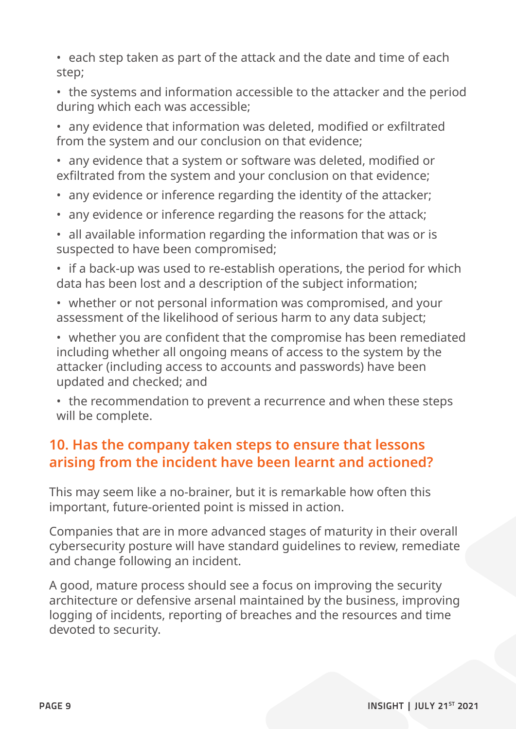• each step taken as part of the attack and the date and time of each step;

• the systems and information accessible to the attacker and the period during which each was accessible;

• any evidence that information was deleted, modified or exfiltrated from the system and our conclusion on that evidence;

• any evidence that a system or software was deleted, modified or exfiltrated from the system and your conclusion on that evidence;

- any evidence or inference regarding the identity of the attacker;
- any evidence or inference regarding the reasons for the attack;
- all available information regarding the information that was or is suspected to have been compromised;

• if a back-up was used to re-establish operations, the period for which data has been lost and a description of the subject information;

• whether or not personal information was compromised, and your assessment of the likelihood of serious harm to any data subject;

• whether you are confident that the compromise has been remediated including whether all ongoing means of access to the system by the attacker (including access to accounts and passwords) have been updated and checked; and

• the recommendation to prevent a recurrence and when these steps will be complete.

# **10. Has the company taken steps to ensure that lessons arising from the incident have been learnt and actioned?**

This may seem like a no-brainer, but it is remarkable how often this important, future-oriented point is missed in action.

Companies that are in more advanced stages of maturity in their overall cybersecurity posture will have standard guidelines to review, remediate and change following an incident.

A good, mature process should see a focus on improving the security architecture or defensive arsenal maintained by the business, improving logging of incidents, reporting of breaches and the resources and time devoted to security.